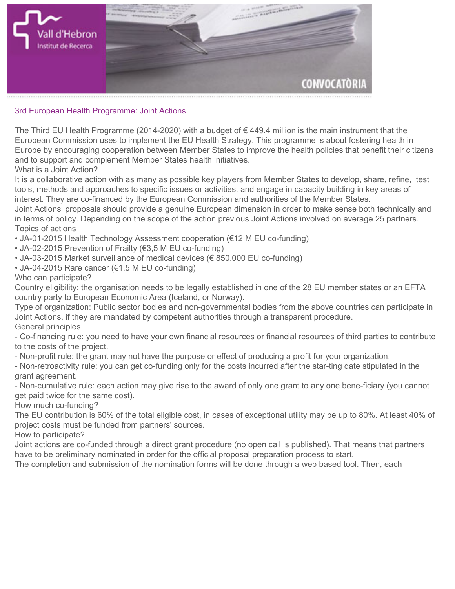

## **3rd European Health Programme: Joint Actions**

**The [Third EU Health Programme](http://ec.europa.eu/health/programme/policy/index_en.htm ) (2014-2020) with a budget of € 449.4 million is the main instrument that the European Commission uses to implement the EU Health Strategy. This programme is about fostering health in Europe by encouraging cooperation between Member States to improve the health policies that benefit their citizens and to support and complement Member States health initiatives.**

**What is a Joint Action?**

**It is a collaborative action with as many as possible key players from Member States to develop, share, refine, test tools, methods and approaches to specific issues or activities, and engage in capacity building in key areas of interest. They are co-financed by the European Commission and authorities of the Member States.**

**Joint Actions' proposals should provide a genuine European dimension in order to make sense both technically and in terms of policy. Depending on the scope of the action previous Joint Actions involved on average 25 partners. Topics of actions**

- **JA-01-2015 Health Technology Assessment cooperation (€12 M EU co-funding)**
- **JA-02-2015 Prevention of Frailty (€3,5 M EU co-funding)**
- **JA-03-2015 Market surveillance of medical devices (€ 850.000 EU co-funding)**
- **JA-04-2015 Rare cancer (€1,5 M EU co-funding)**

## **Who can participate?**

**Country eligibility: the organisation needs to be legally established in one of the 28 EU member states or an EFTA country party to European Economic Area (Iceland, or Norway).**

**Type of organization: Public sector bodies and non-governmental bodies from the above countries can participate in Joint Actions, if they are mandated by competent authorities through a transparent procedure. General principles**

**- Co-financing rule: you need to have your own financial resources or financial resources of third parties to contribute to the costs of the project.**

**- Non-profit rule: the grant may not have the purpose or effect of producing a profit for your organization.**

**- Non-retroactivity rule: you can get co-funding only for the costs incurred after the star-ting date stipulated in the grant agreement.**

**- Non-cumulative rule: each action may give rise to the award of only one grant to any one bene-ficiary (you cannot get paid twice for the same cost).**

**How much co-funding?**

**The EU contribution is 60% of the total eligible cost, in cases of exceptional utility may be up to 80%. At least 40% of project costs must be funded from partners' sources.**

**How to participate?**

**Joint actions are co-funded through a direct grant procedure (no open call is published). That means that partners have to be preliminary nominated in order for the official proposal preparation process to start.**

**The completion and submission of the nomination forms will be done through a web based tool. Then, each**